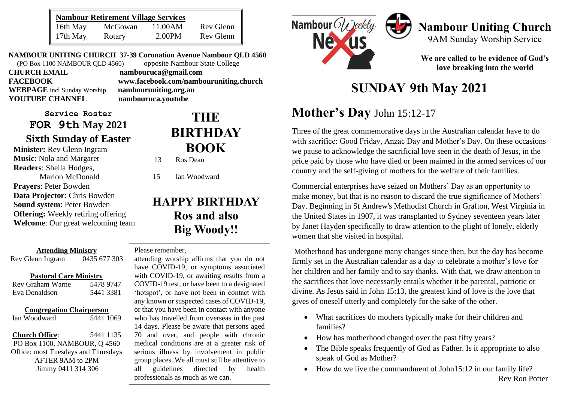| <b>Nambour Retirement Village Services</b> |         |         |           |
|--------------------------------------------|---------|---------|-----------|
| 16th May                                   | McGowan | 11.00AM | Rev Glenn |
| 17th May                                   | Rotary  | 2.00PM  | Rev Glenn |

**NAMBOUR UNITING CHURCH 37-39 Coronation Avenue Nambour QLD 4560** (PO Box 1100 NAMBOUR QLD 4560) opposite Nambour State College **CHURCH EMAIL nambouruca@gmail.com**

**WEBPAGE** incl Sunday Worship **nambouruniting.org.au YOUTUBE CHANNEL nambouruca.youtube**

**Service Roster FOR 9th May 2021 Sixth Sunday of Easter**

**Minister:** Rev Glenn Ingram **Music**: Nola and Margaret **Readers**: Sheila Hodges, Marion McDonald **Prayers**: Peter Bowden **Data Projector**: Chris Bowden **Sound system**: Peter Bowden **Offering:** Weekly retiring offering **Welcome**: Our great welcoming team

**Attending Ministry** Rev Glenn Ingram 0435 677 303

#### **Pastoral Care Ministry**

| Rev Graham Warne | 5478 9747 |
|------------------|-----------|
| Eva Donaldson    | 5441 3381 |

#### **Congregation Chairperson**

Ian Woodward 5441 1069

**Church Office**: 5441 1135 PO Box 1100, NAMBOUR, Q 4560 Office: most Tuesdays and Thursdays AFTER 9AM to 2PM Jimmy 0411 314 306

**FACEBOOK www.facebook.com/nambouruniting.church**

# **THE BIRTHDAY BOOK**

13 Ros Dean

15 Ian Woodward

# **HAPPY BIRTHDAY Ros and also Big Woody!!**

#### Please remember,

**The Serious illness by involvement in public serious places.** We all must still be attentive to all guidelines directed by health attending worship affirms that you do not have COVID-19, or symptoms associated with COVID-19, or awaiting results from a COVID-19 test, or have been to a designated 'hotspot', or have not been in contact with any known or suspected cases of COVID-19, or that you have been in contact with anyone who has travelled from overseas in the past 14 days. Please be aware that persons aged 70 and over, and people with chronic medical conditions are at a greater risk of group places. We all must still be attentive to professionals as much as we can.



# **Nambour Uniting Church** 9AM Sunday Worship Service

**We are called to be evidence of God's love breaking into the world**

# **SUNDAY 9th May 2021**

# **Mother's Day** John 15:12-17

Three of the great commemorative days in the Australian calendar have to do with sacrifice: Good Friday, Anzac Day and Mother's Day. On these occasions we pause to acknowledge the sacrificial love seen in the death of Jesus, in the price paid by those who have died or been maimed in the armed services of our country and the self-giving of mothers for the welfare of their families.

Commercial enterprises have seized on Mothers' Day as an opportunity to make money, but that is no reason to discard the true significance of Mothers' Day. Beginning in St Andrew's Methodist Church in [Grafton, West Virginia](https://en.wikipedia.org/wiki/Grafton,_West_Virginia) in the United States in 1907, it was transplanted to Sydney seventeen years later by Janet Hayden specifically to draw attention to the plight of lonely, elderly women that she visited in hospital.

Motherhood has undergone many changes since then, but the day has become firmly set in the Australian calendar as a day to celebrate a mother's love for her children and her family and to say thanks. With that, we draw attention to the sacrifices that love necessarily entails whether it be parental, patriotic or divine. As Jesus said in John 15:13, the greatest kind of love is the love that gives of oneself utterly and completely for the sake of the other.

- What sacrifices do mothers typically make for their children and families?
- How has motherhood changed over the past fifty years?
- The Bible speaks frequently of God as Father. Is it appropriate to also speak of God as Mother?
- How do we live the commandment of John15:12 in our family life? Rev Ron Potter